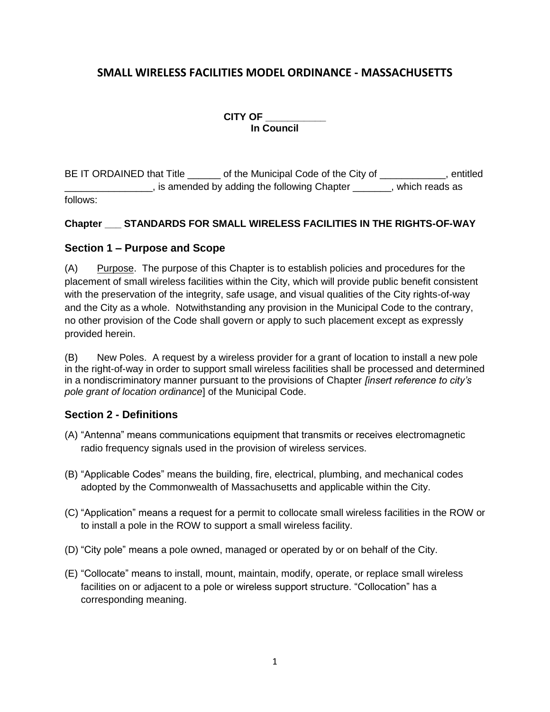# **SMALL WIRELESS FACILITIES MODEL ORDINANCE - MASSACHUSETTS**

**CITY OF \_\_\_\_\_\_\_\_\_\_\_**

**In Council**

BE IT ORDAINED that Title equal to the Municipal Code of the City of the Test of the City of the Municipal Code of the City of **Example 2**, is amended by adding the following Chapter **Example 2**, which reads as follows:

## **Chapter \_\_\_ STANDARDS FOR SMALL WIRELESS FACILITIES IN THE RIGHTS-OF-WAY**

## **Section 1 – Purpose and Scope**

(A) Purpose. The purpose of this Chapter is to establish policies and procedures for the placement of small wireless facilities within the City, which will provide public benefit consistent with the preservation of the integrity, safe usage, and visual qualities of the City rights-of-way and the City as a whole. Notwithstanding any provision in the Municipal Code to the contrary, no other provision of the Code shall govern or apply to such placement except as expressly provided herein.

(B) New Poles. A request by a wireless provider for a grant of location to install a new pole in the right-of-way in order to support small wireless facilities shall be processed and determined in a nondiscriminatory manner pursuant to the provisions of Chapter *[insert reference to city's pole grant of location ordinance*] of the Municipal Code.

## **Section 2 - Definitions**

- (A) "Antenna" means communications equipment that transmits or receives electromagnetic radio frequency signals used in the provision of wireless services.
- (B) "Applicable Codes" means the building, fire, electrical, plumbing, and mechanical codes adopted by the Commonwealth of Massachusetts and applicable within the City.
- (C) "Application" means a request for a permit to collocate small wireless facilities in the ROW or to install a pole in the ROW to support a small wireless facility.
- (D) "City pole" means a pole owned, managed or operated by or on behalf of the City.
- (E) "Collocate" means to install, mount, maintain, modify, operate, or replace small wireless facilities on or adjacent to a pole or wireless support structure. "Collocation" has a corresponding meaning.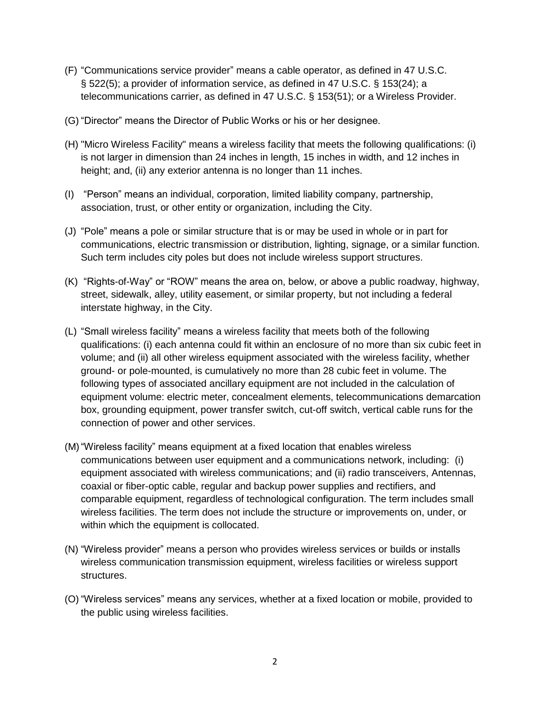- (F) "Communications service provider" means a cable operator, as defined in 47 U.S.C. § 522(5); a provider of information service, as defined in 47 U.S.C. § 153(24); a telecommunications carrier, as defined in 47 U.S.C. § 153(51); or a Wireless Provider.
- (G) "Director" means the Director of Public Works or his or her designee.
- (H) "Micro Wireless Facility" means a wireless facility that meets the following qualifications: (i) is not larger in dimension than 24 inches in length, 15 inches in width, and 12 inches in height; and, (ii) any exterior antenna is no longer than 11 inches.
- (I) "Person" means an individual, corporation, limited liability company, partnership, association, trust, or other entity or organization, including the City.
- (J) "Pole" means a pole or similar structure that is or may be used in whole or in part for communications, electric transmission or distribution, lighting, signage, or a similar function. Such term includes city poles but does not include wireless support structures.
- (K) "Rights-of-Way" or "ROW" means the area on, below, or above a public roadway, highway, street, sidewalk, alley, utility easement, or similar property, but not including a federal interstate highway, in the City.
- (L) "Small wireless facility" means a wireless facility that meets both of the following qualifications: (i) each antenna could fit within an enclosure of no more than six cubic feet in volume; and (ii) all other wireless equipment associated with the wireless facility, whether ground- or pole-mounted, is cumulatively no more than 28 cubic feet in volume. The following types of associated ancillary equipment are not included in the calculation of equipment volume: electric meter, concealment elements, telecommunications demarcation box, grounding equipment, power transfer switch, cut-off switch, vertical cable runs for the connection of power and other services.
- (M)"Wireless facility" means equipment at a fixed location that enables wireless communications between user equipment and a communications network, including: (i) equipment associated with wireless communications; and (ii) radio transceivers, Antennas, coaxial or fiber-optic cable, regular and backup power supplies and rectifiers, and comparable equipment, regardless of technological configuration. The term includes small wireless facilities. The term does not include the structure or improvements on, under, or within which the equipment is collocated.
- (N) "Wireless provider" means a person who provides wireless services or builds or installs wireless communication transmission equipment, wireless facilities or wireless support structures.
- (O) "Wireless services" means any services, whether at a fixed location or mobile, provided to the public using wireless facilities.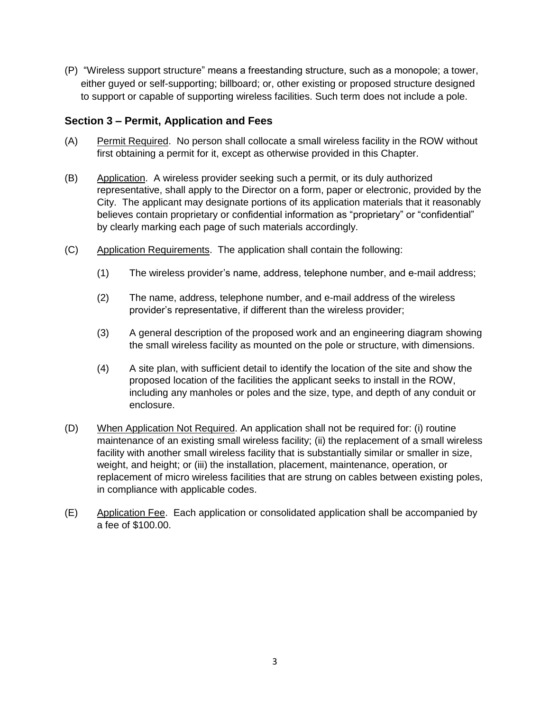(P) "Wireless support structure" means a freestanding structure, such as a monopole; a tower, either guyed or self-supporting; billboard; or, other existing or proposed structure designed to support or capable of supporting wireless facilities. Such term does not include a pole.

## **Section 3 – Permit, Application and Fees**

- (A) Permit Required. No person shall collocate a small wireless facility in the ROW without first obtaining a permit for it, except as otherwise provided in this Chapter.
- (B) Application. A wireless provider seeking such a permit, or its duly authorized representative, shall apply to the Director on a form, paper or electronic, provided by the City. The applicant may designate portions of its application materials that it reasonably believes contain proprietary or confidential information as "proprietary" or "confidential" by clearly marking each page of such materials accordingly.
- (C) Application Requirements. The application shall contain the following:
	- (1) The wireless provider's name, address, telephone number, and e-mail address;
	- (2) The name, address, telephone number, and e-mail address of the wireless provider's representative, if different than the wireless provider;
	- (3) A general description of the proposed work and an engineering diagram showing the small wireless facility as mounted on the pole or structure, with dimensions.
	- (4) A site plan, with sufficient detail to identify the location of the site and show the proposed location of the facilities the applicant seeks to install in the ROW, including any manholes or poles and the size, type, and depth of any conduit or enclosure.
- (D) When Application Not Required. An application shall not be required for: (i) routine maintenance of an existing small wireless facility; (ii) the replacement of a small wireless facility with another small wireless facility that is substantially similar or smaller in size, weight, and height; or (iii) the installation, placement, maintenance, operation, or replacement of micro wireless facilities that are strung on cables between existing poles, in compliance with applicable codes.
- (E) Application Fee. Each application or consolidated application shall be accompanied by a fee of \$100.00.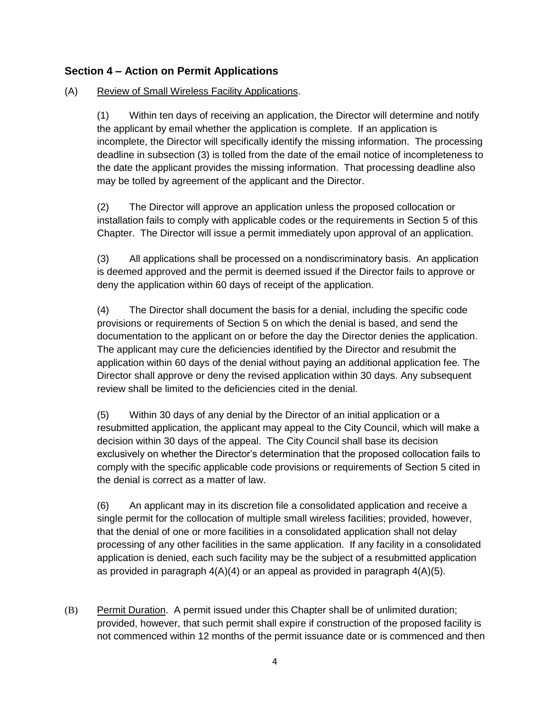## **Section 4 – Action on Permit Applications**

## (A) Review of Small Wireless Facility Applications.

(1) Within ten days of receiving an application, the Director will determine and notify the applicant by email whether the application is complete. If an application is incomplete, the Director will specifically identify the missing information. The processing deadline in subsection (3) is tolled from the date of the email notice of incompleteness to the date the applicant provides the missing information. That processing deadline also may be tolled by agreement of the applicant and the Director.

(2) The Director will approve an application unless the proposed collocation or installation fails to comply with applicable codes or the requirements in Section 5 of this Chapter. The Director will issue a permit immediately upon approval of an application.

(3) All applications shall be processed on a nondiscriminatory basis. An application is deemed approved and the permit is deemed issued if the Director fails to approve or deny the application within 60 days of receipt of the application.

(4) The Director shall document the basis for a denial, including the specific code provisions or requirements of Section 5 on which the denial is based, and send the documentation to the applicant on or before the day the Director denies the application. The applicant may cure the deficiencies identified by the Director and resubmit the application within 60 days of the denial without paying an additional application fee. The Director shall approve or deny the revised application within 30 days. Any subsequent review shall be limited to the deficiencies cited in the denial.

(5) Within 30 days of any denial by the Director of an initial application or a resubmitted application, the applicant may appeal to the City Council, which will make a decision within 30 days of the appeal. The City Council shall base its decision exclusively on whether the Director's determination that the proposed collocation fails to comply with the specific applicable code provisions or requirements of Section 5 cited in the denial is correct as a matter of law.

(6) An applicant may in its discretion file a consolidated application and receive a single permit for the collocation of multiple small wireless facilities; provided, however, that the denial of one or more facilities in a consolidated application shall not delay processing of any other facilities in the same application. If any facility in a consolidated application is denied, each such facility may be the subject of a resubmitted application as provided in paragraph  $4(A)(4)$  or an appeal as provided in paragraph  $4(A)(5)$ .

(B) Permit Duration. A permit issued under this Chapter shall be of unlimited duration; provided, however, that such permit shall expire if construction of the proposed facility is not commenced within 12 months of the permit issuance date or is commenced and then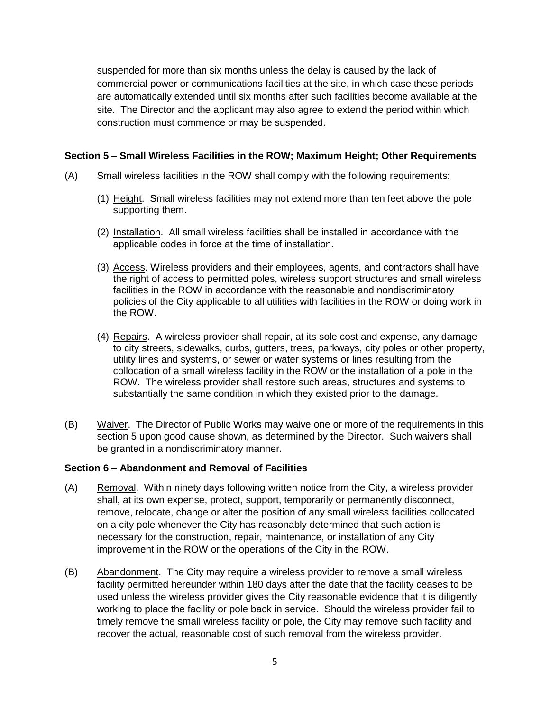suspended for more than six months unless the delay is caused by the lack of commercial power or communications facilities at the site, in which case these periods are automatically extended until six months after such facilities become available at the site. The Director and the applicant may also agree to extend the period within which construction must commence or may be suspended.

## **Section 5 – Small Wireless Facilities in the ROW; Maximum Height; Other Requirements**

- (A) Small wireless facilities in the ROW shall comply with the following requirements:
	- (1) Height. Small wireless facilities may not extend more than ten feet above the pole supporting them.
	- (2) Installation. All small wireless facilities shall be installed in accordance with the applicable codes in force at the time of installation.
	- (3) Access. Wireless providers and their employees, agents, and contractors shall have the right of access to permitted poles, wireless support structures and small wireless facilities in the ROW in accordance with the reasonable and nondiscriminatory policies of the City applicable to all utilities with facilities in the ROW or doing work in the ROW.
	- (4) Repairs. A wireless provider shall repair, at its sole cost and expense, any damage to city streets, sidewalks, curbs, gutters, trees, parkways, city poles or other property, utility lines and systems, or sewer or water systems or lines resulting from the collocation of a small wireless facility in the ROW or the installation of a pole in the ROW. The wireless provider shall restore such areas, structures and systems to substantially the same condition in which they existed prior to the damage.
- (B) Waiver. The Director of Public Works may waive one or more of the requirements in this section 5 upon good cause shown, as determined by the Director. Such waivers shall be granted in a nondiscriminatory manner.

#### **Section 6 – Abandonment and Removal of Facilities**

- (A) Removal. Within ninety days following written notice from the City, a wireless provider shall, at its own expense, protect, support, temporarily or permanently disconnect, remove, relocate, change or alter the position of any small wireless facilities collocated on a city pole whenever the City has reasonably determined that such action is necessary for the construction, repair, maintenance, or installation of any City improvement in the ROW or the operations of the City in the ROW.
- (B) Abandonment. The City may require a wireless provider to remove a small wireless facility permitted hereunder within 180 days after the date that the facility ceases to be used unless the wireless provider gives the City reasonable evidence that it is diligently working to place the facility or pole back in service. Should the wireless provider fail to timely remove the small wireless facility or pole, the City may remove such facility and recover the actual, reasonable cost of such removal from the wireless provider.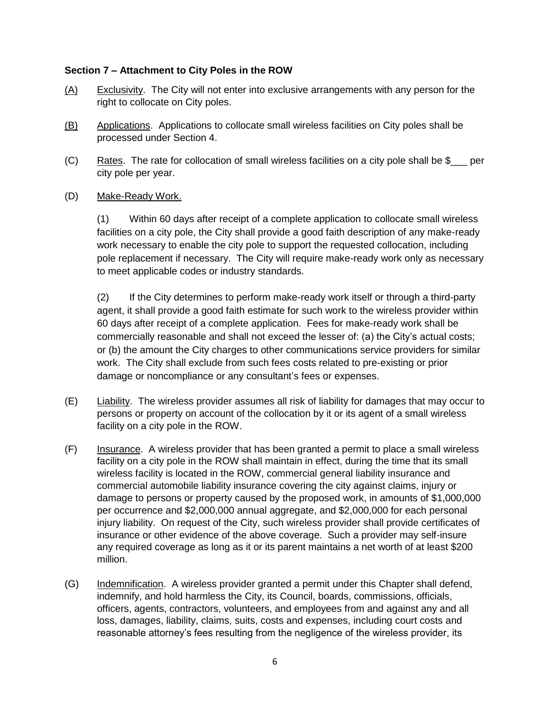### **Section 7 – Attachment to City Poles in the ROW**

- (A) Exclusivity. The City will not enter into exclusive arrangements with any person for the right to collocate on City poles.
- (B) Applications. Applications to collocate small wireless facilities on City poles shall be processed under Section 4.
- (C) Rates. The rate for collocation of small wireless facilities on a city pole shall be  $\frac{1}{2}$  per city pole per year.
- (D) Make-Ready Work.

(1) Within 60 days after receipt of a complete application to collocate small wireless facilities on a city pole, the City shall provide a good faith description of any make-ready work necessary to enable the city pole to support the requested collocation, including pole replacement if necessary. The City will require make-ready work only as necessary to meet applicable codes or industry standards.

(2) If the City determines to perform make-ready work itself or through a third-party agent, it shall provide a good faith estimate for such work to the wireless provider within 60 days after receipt of a complete application. Fees for make-ready work shall be commercially reasonable and shall not exceed the lesser of: (a) the City's actual costs; or (b) the amount the City charges to other communications service providers for similar work. The City shall exclude from such fees costs related to pre-existing or prior damage or noncompliance or any consultant's fees or expenses.

- (E) Liability. The wireless provider assumes all risk of liability for damages that may occur to persons or property on account of the collocation by it or its agent of a small wireless facility on a city pole in the ROW.
- (F) Insurance. A wireless provider that has been granted a permit to place a small wireless facility on a city pole in the ROW shall maintain in effect, during the time that its small wireless facility is located in the ROW, commercial general liability insurance and commercial automobile liability insurance covering the city against claims, injury or damage to persons or property caused by the proposed work, in amounts of \$1,000,000 per occurrence and \$2,000,000 annual aggregate, and \$2,000,000 for each personal injury liability. On request of the City, such wireless provider shall provide certificates of insurance or other evidence of the above coverage. Such a provider may self-insure any required coverage as long as it or its parent maintains a net worth of at least \$200 million.
- (G) Indemnification. A wireless provider granted a permit under this Chapter shall defend, indemnify, and hold harmless the City, its Council, boards, commissions, officials, officers, agents, contractors, volunteers, and employees from and against any and all loss, damages, liability, claims, suits, costs and expenses, including court costs and reasonable attorney's fees resulting from the negligence of the wireless provider, its